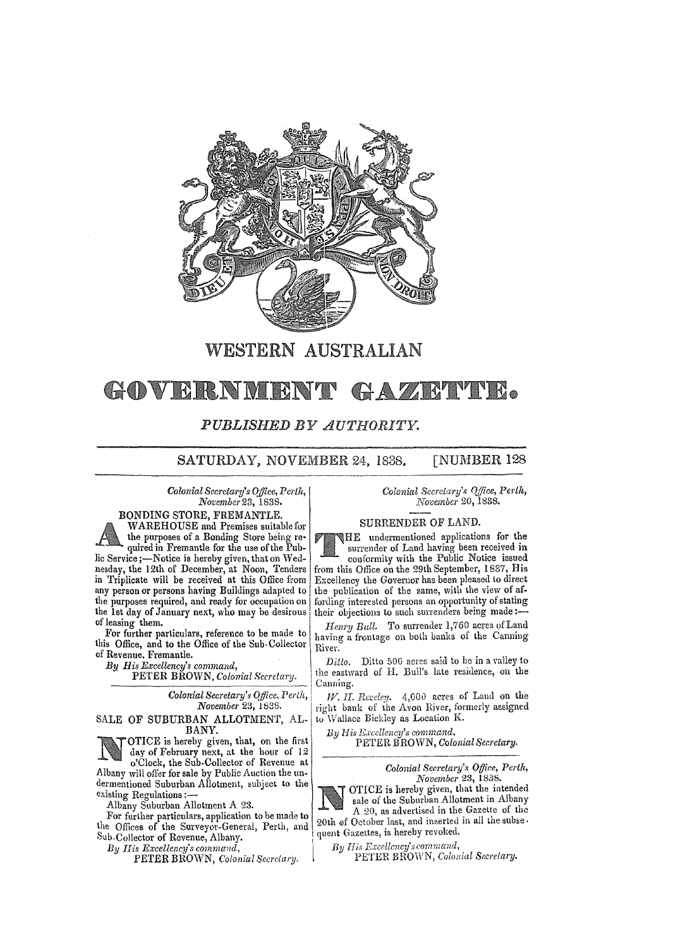

# WESTERN AUSTRALIAN

### GAZETYPE. GOVERNMENT

## *PUBLISHED BY AUTHORITY.*

SATURDAY, NOVEMBER 24, 1838. [NUMBER 128]

*Colonial Secretary's Office, Perth, November23,1838.* 

BONDING STORE, FREMANTLE. WAREHOUSE and Premises suitable for the purposes of a Bonding Store being required in Fremantle for the use of the Public Service ;- Notice is hereby given, that on Wednesday, the 12th of December, at Noon, Tenders in Triplicate will be received at this Office from any person or persons having Buildings adapted to the purposes required, and ready for occupation on the Ist day of January next, who may be desirous of leasing them.

For further particulars, reference to be made to this Office, and to the Office of the Sub-Collector of Revenue, Fremantle.

*By His Excellency's command,* 

PETER BROWN, *Colonial Secretary.* 

*Colonial Secretary's OjJ/ce. Perth, November* 23, 1838.

#### SALE OF SUBURBAN ALLOTMENT, AL-BANY.

OTICE is hereby given, that, on the first day of February next, at the hour of 12 o'Clock, the Sub. Collector of Revenue at o Clock, the Sub-Collector of Revenue at the unit of Colonial Secretary's Office, Perth, <br>Albany will offer for sale by Public Auction the unit are secretary's Office, Perth, *Revenue 23, 1835*.

dermentioned Suburban Allotment, subject to the *November 23*, 1835.<br>
existing Regulations :-

the Offices of the Surveyor-General, Perth, and  $\begin{array}{l} \text{20th} \\ \text{20th} \\ \text{30th} \\ \text{30th} \\ \text{40th} \\ \text{50th} \\ \text{51th} \\ \text{52th} \\ \text{62th} \\ \text{63th} \\ \text{64th} \\ \text{65th} \\ \text{76th} \\ \text{77th} \\ \text{88th} \\ \text{78th} \\ \text{79th} \\ \text{79th} \\ \text{70th} \\ \text{70th} \\ \text{70$ 

*Colonial Secretary's Office, Perth, November* 20, 1838.

### SURRENDER OF LAND.

HE undermentioned applications for the surrender of Land having been received in conformity with the Public Notice issued from this Office on the 29th September, 1837, His Excellency the Governor has been pleased to direct the publication of the same, with the view of affording interested persons an opportunity of stating their objections to such surrenders being made:-

Henry Bull. To surrender 1,760 acres of Land having a frontage on both banks of the Canning River.

Ditto. Ditto 500 acres said to be in a valley to the eastward of H. Bull's late residence, on the Canning.

 $W.$  H. *Reveley.*  $4,000$  acres of Land on the right bank of the Avon River, formerly assigned to \Vallace Biekley as Location K.

*By His Krcellency's command,* 



existing Regulations:——<br>
Albany Suburban Allotment A 23.<br>
For further particulars, application to be made to<br>
the Offices of the Surveyor-General, Perth, and<br>
Sub-Collector of Revenue, Albany.<br>
Sub-Collector of Revenue, Al Albany Suburban Allotment A 23.<br>For further particulars, application to be made to<br> $\frac{A}{20}$ , as advertised in the Gazette of the<br> $\frac{B}{20}$  of the Surveyor-General Parth, and 20th of October last, and inserted in all th

*By His Excellency's* c~mmal1d, . l *By* If *i.,* ~\c~ellcncy's :~mma71d, . ., PETER BROWN, *Colomal Secretary.* I~E 1 ER BRO" N, *Colollwl Secl elmy.*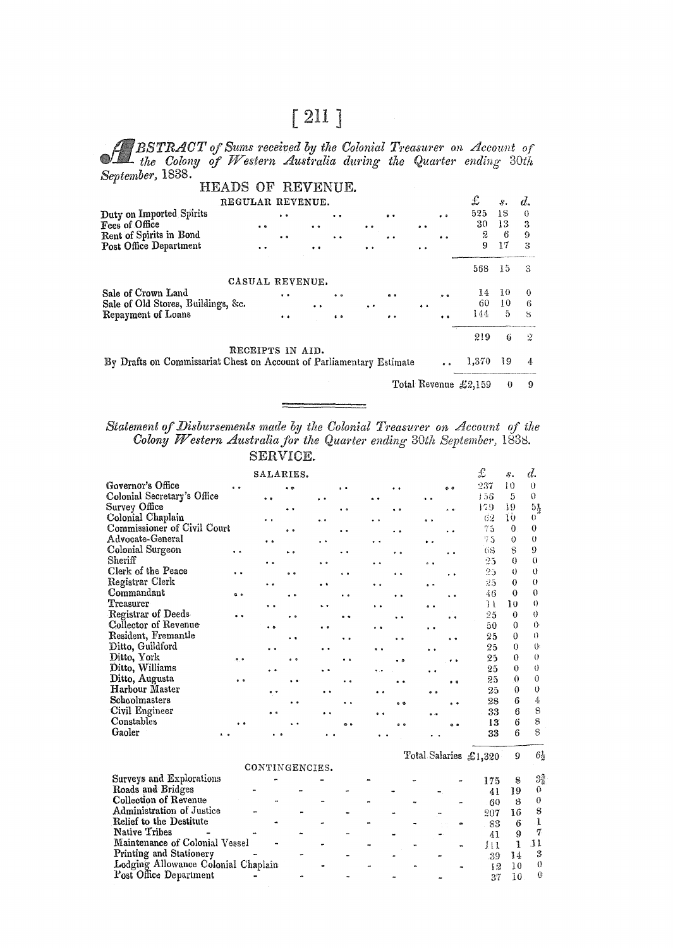# $[211]$

A BSTRACT of Sums received by the Colonial Treasurer on Account of the Colony of Western Australia during the Quarter ending 30th September, 1838.

| HEADS OF REVENUE.                                                    |                  |                     |            |           |                      |            |                     |            |                      |          |        |
|----------------------------------------------------------------------|------------------|---------------------|------------|-----------|----------------------|------------|---------------------|------------|----------------------|----------|--------|
|                                                                      | REGULAR REVENUE. |                     |            |           |                      |            |                     |            | £                    | s.       | d.     |
| Duty on Imported Spirits<br>Fees of Office                           |                  | $\sim$              |            | . .       |                      | $^{\circ}$ |                     | $^{\circ}$ | 525<br>30            | 18<br>13 | €<br>3 |
| Rent of Spirits in Bond                                              | $\bullet$        | $\bullet$           | $\bullet$  | $\cdot$ . | $\ddot{\phantom{1}}$ | . .        | $\bullet$           |            | 2                    | 6        | 9      |
| Post Office Department                                               |                  |                     |            |           | $\bullet$            |            | $\cdot$ .           |            | 9                    | 17       | 3      |
|                                                                      |                  |                     |            |           |                      |            |                     |            | 568                  | 15       | 3      |
|                                                                      | CASUAL REVENUE.  |                     |            |           |                      |            |                     |            |                      |          |        |
| Sale of Crown Land                                                   |                  | $\bullet$ $\bullet$ |            |           |                      |            |                     |            | 14                   | 10       | 0      |
| Sale of Old Stores, Buildings, &c.                                   |                  |                     | $^{\circ}$ |           | $\ddot{\phantom{0}}$ |            | $\bullet$ $\bullet$ |            | 60                   | 10       | 6      |
| Repayment of Loans                                                   |                  | 9.8                 |            |           |                      | . .        |                     |            | 144                  | 5        | 8      |
|                                                                      |                  |                     |            |           |                      |            |                     |            | 219                  | 6        | 2      |
|                                                                      | RECEIPTS IN AID. |                     |            |           |                      |            |                     |            |                      |          |        |
| By Drafts on Commissariat Chest on Account of Parliamentary Estimate |                  |                     |            |           |                      |            |                     |            | 1,370                | 19       | 4      |
|                                                                      |                  |                     |            |           |                      |            |                     |            | Total Revenue £2,159 | $\theta$ | 9      |

Statement of Disbursements made by the Colonial Treasurer on Account of the Colony Western Australia for the Quarter ending 30th September, 1838. SERVICE.

|                                     |                      | SALARIES.            |                      |                      |                      |                      |                      |                      |                      |                      | £                     | 8.              | d.                      |
|-------------------------------------|----------------------|----------------------|----------------------|----------------------|----------------------|----------------------|----------------------|----------------------|----------------------|----------------------|-----------------------|-----------------|-------------------------|
| Governor's Office                   |                      |                      | $\cdot$              |                      |                      |                      | . .                  |                      | $^{\circ}$           |                      | 237                   | 10              | $\theta$                |
| Colonial Secretary's Office         |                      | $^{\circ}$           |                      | $\ddot{\phantom{1}}$ |                      | $\ddot{\phantom{0}}$ |                      | $\ddot{\phantom{0}}$ |                      |                      | 156                   | 5               | $\theta$                |
| Survey Office                       |                      |                      | $\ddot{\bullet}$     |                      | $\ddot{\phantom{a}}$ |                      | $^{\circ}$           |                      | $\ddot{\phantom{a}}$ |                      | 179                   | 19              | $5\frac{1}{2}$          |
| Colonial Chaplain                   |                      | . .                  |                      |                      |                      | $\cdot$ $\cdot$      |                      |                      | $\bullet \bullet$    |                      | 62                    | ΊÙ              | $\overline{0}$          |
| Commissioner of Civil Court         |                      |                      | $\ddot{\phantom{a}}$ |                      | $\ddot{\phantom{0}}$ |                      | . .                  |                      | $\ddot{\phantom{1}}$ |                      | 75                    | $\Omega$        | $\theta$                |
| Advocate-General                    |                      | $\ddot{\phantom{a}}$ |                      |                      |                      | $\ddot{\phantom{0}}$ |                      |                      | $\bullet$            |                      | 75                    | 0               | $\theta$                |
| <b>Colonial Surgeon</b>             | $\ddot{\phantom{0}}$ |                      | $\ddot{\phantom{1}}$ |                      | $\ddot{\phantom{0}}$ |                      | $\ddot{\phantom{0}}$ |                      |                      |                      | 68                    | $\mathbf s$     | 9                       |
| Sheriff                             |                      | $\ddot{\phantom{a}}$ |                      | $\ddot{\phantom{0}}$ |                      | . .                  |                      |                      | $\ddot{\phantom{0}}$ |                      | 25                    | $\Omega$        | $\theta$                |
| Clerk of the Peace                  | $\ddot{\phantom{1}}$ |                      |                      |                      | $\ddot{\phantom{1}}$ |                      | $\ddot{\phantom{1}}$ |                      | . .                  |                      | 25                    | 0               | $\theta$                |
| Registrar Clerk                     |                      | ٠.                   |                      | . .                  |                      | $\ddot{\bullet}$     |                      |                      | $^{\circ}$           |                      | 25                    | 0               | $\theta$                |
| Commandant                          | d o                  |                      | $\cdot$ $\cdot$      |                      | . .                  |                      | $\cdot$ $\cdot$      |                      | $\cdot$ $\cdot$      |                      | 46                    | $\Omega$        | $\theta$                |
| Treasurer                           |                      | $\ddot{\phantom{0}}$ |                      | $\ddot{\phantom{1}}$ |                      | $\ddot{\phantom{1}}$ |                      |                      | $\ddot{\bullet}$     |                      | 34                    | 10              | $\theta$                |
| <b>Registrar of Deeds</b>           | . .                  |                      | $\cdot$ $\cdot$      |                      | $^{\circ}$           |                      |                      |                      | $^{\circ}$           |                      | 25                    | $\theta$        | 0                       |
| Collector of Revenue                |                      | $\ddot{\phantom{0}}$ |                      | $\bullet$            |                      | $\ddot{\phantom{0}}$ |                      |                      | $\ddot{\phantom{1}}$ |                      | 50                    | $\theta$        | $\theta$                |
| Resident, Fremantle                 |                      |                      |                      |                      | $\bullet$            |                      | $\ddot{\phantom{a}}$ |                      | $\ddot{\phantom{1}}$ |                      | 25                    | $\theta$        | $\theta$                |
| Ditto, Guildford                    |                      |                      |                      | $\bullet$            |                      | $\ddot{\phantom{a}}$ |                      |                      | $\ddot{\phantom{0}}$ |                      | 25                    | $\theta$        | $\theta$                |
| Ditto, York                         | $^{\bullet}$         |                      | $^{\circ}$           |                      | $^{\circ}$           |                      | $^{\circ}$           |                      |                      | $\bullet$            | 25                    | 0               | $\theta$                |
| Ditto, Williams                     |                      | $\ddot{\phantom{0}}$ |                      | $\ddot{\phantom{0}}$ |                      | $\ddot{\phantom{a}}$ |                      |                      |                      |                      | 25                    | $\theta$        | $\theta$<br>$\theta$    |
| Ditto, Augusta<br>Harbour Master    | $^{\circ}$           |                      | $\ddot{\phantom{0}}$ |                      | $\ddot{\phantom{a}}$ |                      |                      |                      |                      | $^{\circ}$           | 25                    | $\Omega$        | $\theta$                |
| Schoolmasters                       |                      |                      |                      | $\ddot{\phantom{0}}$ |                      | $\bullet$            |                      |                      | $\bullet$ $\bullet$  |                      | 25                    | $\theta$        | 4                       |
| Civil Engineer                      |                      |                      | . .                  |                      | $\ddot{\phantom{1}}$ |                      | $^{\circ}$           |                      |                      | $\ddot{\phantom{0}}$ | 28                    | 6<br>6          | $\overline{\mathbf{s}}$ |
| Constables                          |                      | a a                  |                      |                      |                      | $\bullet$            |                      |                      | $\bullet$            |                      | 33<br>13              | 6               | $\mathbf{g}$            |
| Gaoler                              | . .                  |                      |                      |                      | e s                  |                      | $^{\circ}$           |                      |                      | $\bullet$            | 33                    | 6               | S                       |
|                                     |                      |                      |                      |                      |                      |                      |                      |                      |                      |                      |                       |                 |                         |
|                                     |                      |                      |                      |                      |                      |                      |                      |                      |                      |                      | Total Salaries £1,320 | 9               | $6\frac{1}{2}$          |
|                                     |                      | CONTINGENCIES.       |                      |                      |                      |                      |                      |                      |                      |                      |                       |                 |                         |
| Surveys and Explorations            |                      |                      |                      |                      |                      |                      |                      |                      |                      |                      | 175                   | 8               | $3\frac{3}{4}$          |
| Roads and Bridges                   |                      |                      |                      |                      |                      |                      |                      |                      |                      |                      | 41                    | 19              | $\theta$                |
| <b>Collection of Revenue</b>        |                      |                      |                      |                      |                      |                      |                      | $\ddot{ }$           |                      | $\ddot{\phantom{1}}$ | 60                    | 8               | $\theta$                |
| Administration of Justice           |                      |                      |                      |                      | ٠                    |                      |                      |                      |                      |                      | 207                   | 16              | 8                       |
| Relief to the Destitute             |                      |                      |                      |                      |                      |                      |                      |                      |                      | ø                    | 83                    | 6               | į                       |
| <b>Native Tribes</b>                |                      |                      |                      |                      |                      |                      |                      |                      |                      |                      | 41                    | 9               | 7                       |
| Maintenance of Colonial Vessel      |                      |                      |                      |                      |                      |                      |                      |                      |                      |                      | $_{11}$               | 1               | 11                      |
| Printing and Stationery             |                      |                      |                      |                      |                      |                      |                      |                      |                      |                      | 39                    | 14              | 3                       |
| Lodging Allowance Colonial Chaplain |                      |                      |                      |                      |                      |                      |                      |                      |                      |                      | 12                    | 10              | $\theta$                |
| Post Office Department              |                      |                      |                      |                      |                      |                      |                      |                      |                      |                      | 37                    | $\overline{1}0$ | $\hat{Q}$               |